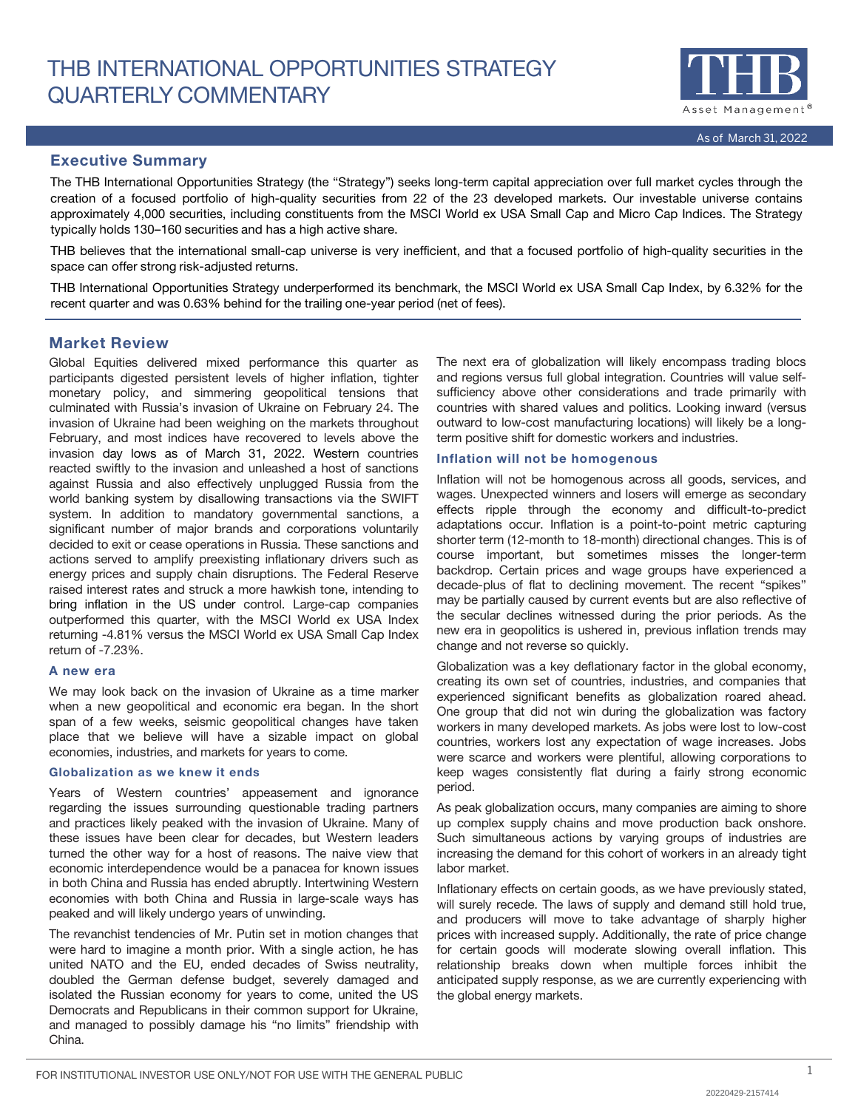

# Executive Summary

The THB International Opportunities Strategy (the "Strategy") seeks long-term capital appreciation over full market cycles through the creation of a focused portfolio of high-quality securities from 22 of the 23 developed markets. Our investable universe contains approximately 4,000 securities, including constituents from the MSCI World ex USA Small Cap and Micro Cap Indices. The Strategy typically holds 130–160 securities and has a high active share.

THB believes that the international small-cap universe is very inefficient, and that a focused portfolio of high-quality securities in the space can offer strong risk-adjusted returns.

THB International Opportunities Strategy underperformed its benchmark, the MSCI World ex USA Small Cap Index, by 6.32% for the recent quarter and was 0.63% behind for the trailing one-year period (net of fees).

# Market Review

Global Equities delivered mixed performance this quarter as participants digested persistent levels of higher inflation, tighter monetary policy, and simmering geopolitical tensions that culminated with Russia's invasion of Ukraine on February 24. The invasion of Ukraine had been weighing on the markets throughout February, and most indices have recovered to levels above the invasion day lows as of March 31, 2022. Western countries reacted swiftly to the invasion and unleashed a host of sanctions against Russia and also effectively unplugged Russia from the world banking system by disallowing transactions via the SWIFT system. In addition to mandatory governmental sanctions, a significant number of major brands and corporations voluntarily decided to exit or cease operations in Russia. These sanctions and actions served to amplify preexisting inflationary drivers such as energy prices and supply chain disruptions. The Federal Reserve raised interest rates and struck a more hawkish tone, intending to bring inflation in the US under control. Large-cap companies outperformed this quarter, with the MSCI World ex USA Index returning -4.81% versus the MSCI World ex USA Small Cap Index return of -7.23%.

#### A new era

We may look back on the invasion of Ukraine as a time marker when a new geopolitical and economic era began. In the short span of a few weeks, seismic geopolitical changes have taken place that we believe will have a sizable impact on global economies, industries, and markets for years to come.

#### Globalization as we knew it ends

Years of Western countries' appeasement and ignorance regarding the issues surrounding questionable trading partners and practices likely peaked with the invasion of Ukraine. Many of these issues have been clear for decades, but Western leaders turned the other way for a host of reasons. The naive view that economic interdependence would be a panacea for known issues in both China and Russia has ended abruptly. Intertwining Western economies with both China and Russia in large-scale ways has peaked and will likely undergo years of unwinding.

The revanchist tendencies of Mr. Putin set in motion changes that were hard to imagine a month prior. With a single action, he has united NATO and the EU, ended decades of Swiss neutrality, doubled the German defense budget, severely damaged and isolated the Russian economy for years to come, united the US Democrats and Republicans in their common support for Ukraine, and managed to possibly damage his "no limits" friendship with China.

The next era of globalization will likely encompass trading blocs and regions versus full global integration. Countries will value selfsufficiency above other considerations and trade primarily with countries with shared values and politics. Looking inward (versus outward to low-cost manufacturing locations) will likely be a longterm positive shift for domestic workers and industries.

#### Inflation will not be homogenous

Inflation will not be homogenous across all goods, services, and wages. Unexpected winners and losers will emerge as secondary effects ripple through the economy and difficult-to-predict adaptations occur. Inflation is a point-to-point metric capturing shorter term (12-month to 18-month) directional changes. This is of course important, but sometimes misses the longer-term backdrop. Certain prices and wage groups have experienced a decade-plus of flat to declining movement. The recent "spikes" may be partially caused by current events but are also reflective of the secular declines witnessed during the prior periods. As the new era in geopolitics is ushered in, previous inflation trends may change and not reverse so quickly.

Globalization was a key deflationary factor in the global economy, creating its own set of countries, industries, and companies that experienced significant benefits as globalization roared ahead. One group that did not win during the globalization was factory workers in many developed markets. As jobs were lost to low-cost countries, workers lost any expectation of wage increases. Jobs were scarce and workers were plentiful, allowing corporations to keep wages consistently flat during a fairly strong economic period.

As peak globalization occurs, many companies are aiming to shore up complex supply chains and move production back onshore. Such simultaneous actions by varying groups of industries are increasing the demand for this cohort of workers in an already tight labor market.

Inflationary effects on certain goods, as we have previously stated, will surely recede. The laws of supply and demand still hold true, and producers will move to take advantage of sharply higher prices with increased supply. Additionally, the rate of price change for certain goods will moderate slowing overall inflation. This relationship breaks down when multiple forces inhibit the anticipated supply response, as we are currently experiencing with the global energy markets.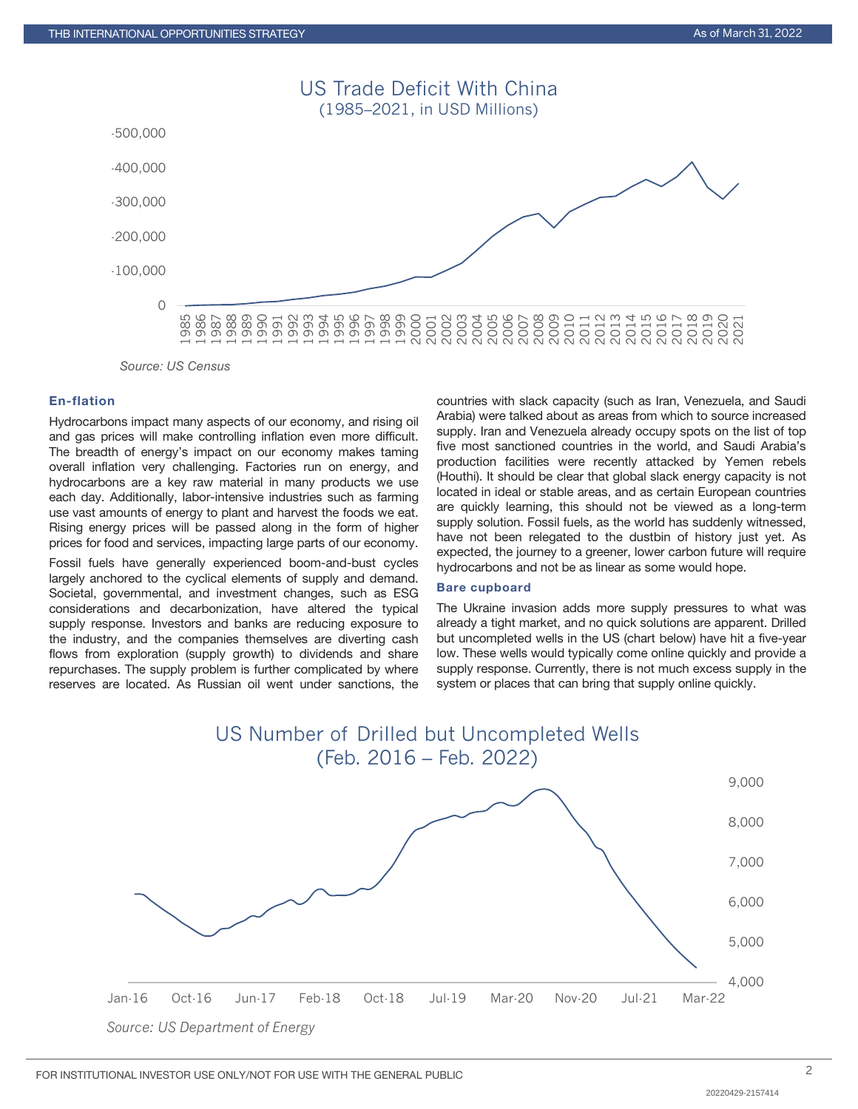

# En-flation

Hydrocarbons impact many aspects of our economy, and rising oil and gas prices will make controlling inflation even more difficult. The breadth of energy's impact on our economy makes taming overall inflation very challenging. Factories run on energy, and hydrocarbons are a key raw material in many products we use each day. Additionally, labor-intensive industries such as farming use vast amounts of energy to plant and harvest the foods we eat. Rising energy prices will be passed along in the form of higher prices for food and services, impacting large parts of our economy.

Fossil fuels have generally experienced boom-and-bust cycles largely anchored to the cyclical elements of supply and demand. Societal, governmental, and investment changes, such as ESG considerations and decarbonization, have altered the typical supply response. Investors and banks are reducing exposure to the industry, and the companies themselves are diverting cash flows from exploration (supply growth) to dividends and share repurchases. The supply problem is further complicated by where reserves are located. As Russian oil went under sanctions, the countries with slack capacity (such as Iran, Venezuela, and Saudi Arabia) were talked about as areas from which to source increased supply. Iran and Venezuela already occupy spots on the list of top five most sanctioned countries in the world, and Saudi Arabia's production facilities were recently attacked by Yemen rebels (Houthi). It should be clear that global slack energy capacity is not located in ideal or stable areas, and as certain European countries are quickly learning, this should not be viewed as a long-term supply solution. Fossil fuels, as the world has suddenly witnessed, have not been relegated to the dustbin of history just yet. As expected, the journey to a greener, lower carbon future will require hydrocarbons and not be as linear as some would hope.

#### Bare cupboard

The Ukraine invasion adds more supply pressures to what was already a tight market, and no quick solutions are apparent. Drilled but uncompleted wells in the US (chart below) have hit a five-year low. These wells would typically come online quickly and provide a supply response. Currently, there is not much excess supply in the system or places that can bring that supply online quickly.

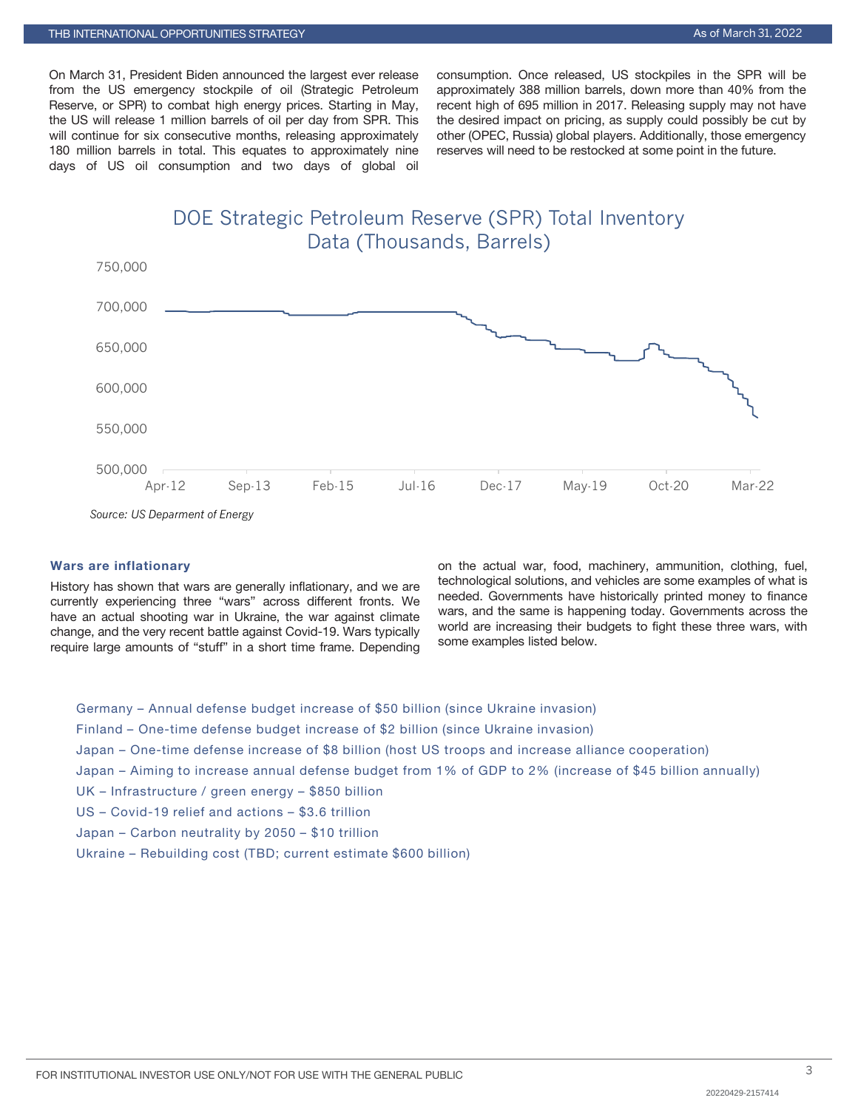On March 31, President Biden announced the largest ever release from the US emergency stockpile of oil (Strategic Petroleum Reserve, or SPR) to combat high energy prices. Starting in May, the US will release 1 million barrels of oil per day from SPR. This will continue for six consecutive months, releasing approximately 180 million barrels in total. This equates to approximately nine days of US oil consumption and two days of global oil consumption. Once released, US stockpiles in the SPR will be approximately 388 million barrels, down more than 40% from the recent high of 695 million in 2017. Releasing supply may not have the desired impact on pricing, as supply could possibly be cut by other (OPEC, Russia) global players. Additionally, those emergency reserves will need to be restocked at some point in the future.

DOE Strategic Petroleum Reserve (SPR) Total Inventory Data (Thousands, Barrels)



*Source: US Deparment of Energy*

# Wars are inflationary

History has shown that wars are generally inflationary, and we are currently experiencing three "wars" across different fronts. We have an actual shooting war in Ukraine, the war against climate change, and the very recent battle against Covid-19. Wars typically require large amounts of "stuff" in a short time frame. Depending

on the actual war, food, machinery, ammunition, clothing, fuel, technological solutions, and vehicles are some examples of what is needed. Governments have historically printed money to finance wars, and the same is happening today. Governments across the world are increasing their budgets to fight these three wars, with some examples listed below.

Germany – Annual defense budget increase of \$50 billion (since Ukraine invasion) Finland – One-time defense budget increase of \$2 billion (since Ukraine invasion) Japan – One-time defense increase of \$8 billion (host US troops and increase alliance cooperation) Japan – Aiming to increase annual defense budget from 1% of GDP to 2% (increase of \$45 billion annually) UK – Infrastructure / green energy – \$850 billion US – Covid-19 relief and actions – \$3.6 trillion Japan – Carbon neutrality by 2050 – \$10 trillion Ukraine – Rebuilding cost (TBD; current estimate \$600 billion)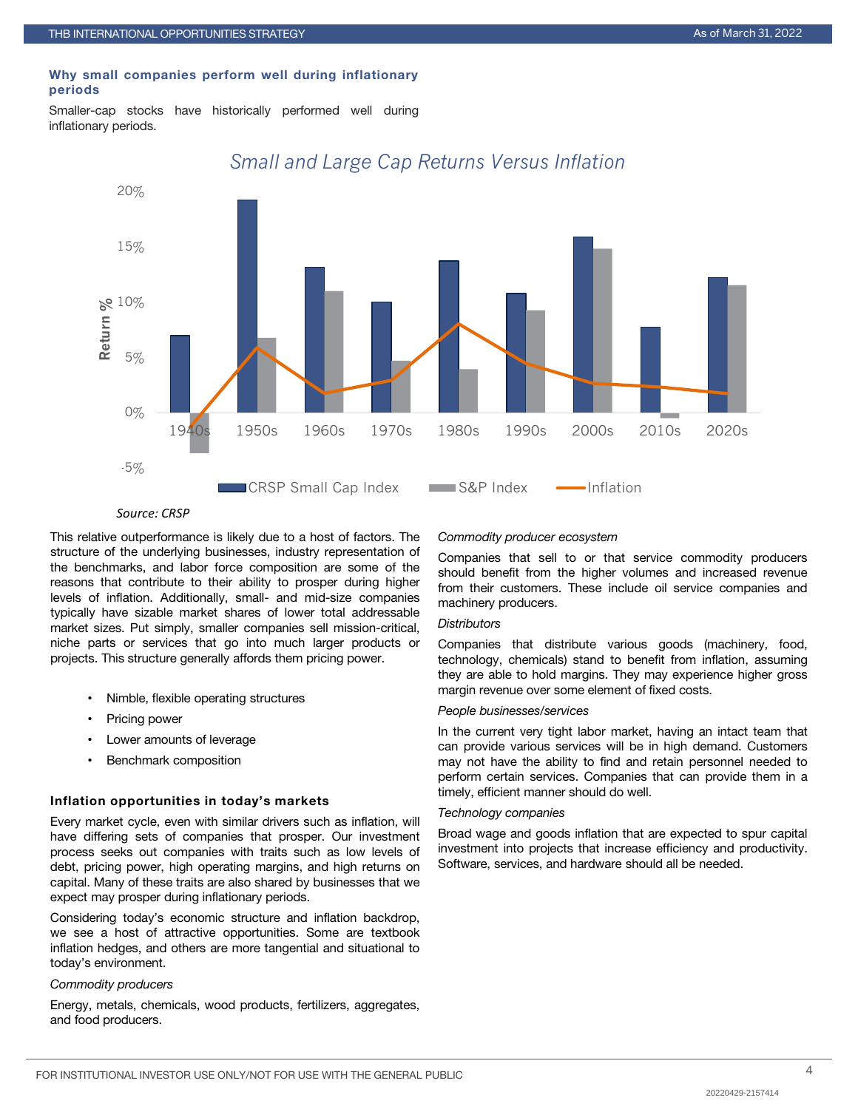#### Why small companies perform well during inflationary periods

Smaller-cap stocks have historically performed well during inflationary periods.



# *Small and Large Cap Returns Versus Inflation*

#### *Source: CRSP*

This relative outperformance is likely due to a host of factors. The structure of the underlying businesses, industry representation of the benchmarks, and labor force composition are some of the reasons that contribute to their ability to prosper during higher levels of inflation. Additionally, small- and mid-size companies typically have sizable market shares of lower total addressable market sizes. Put simply, smaller companies sell mission-critical, niche parts or services that go into much larger products or projects. This structure generally affords them pricing power.

- Nimble, flexible operating structures
- Pricing power
- Lower amounts of leverage
- Benchmark composition

#### Inflation opportunities in today's markets

Every market cycle, even with similar drivers such as inflation, will have differing sets of companies that prosper. Our investment process seeks out companies with traits such as low levels of debt, pricing power, high operating margins, and high returns on capital. Many of these traits are also shared by businesses that we expect may prosper during inflationary periods.

Considering today's economic structure and inflation backdrop, we see a host of attractive opportunities. Some are textbook inflation hedges, and others are more tangential and situational to today's environment.

#### *Commodity producers*

Energy, metals, chemicals, wood products, fertilizers, aggregates, and food producers.

#### *Commodity producer ecosystem*

Companies that sell to or that service commodity producers should benefit from the higher volumes and increased revenue from their customers. These include oil service companies and machinery producers.

#### *Distributors*

Companies that distribute various goods (machinery, food, technology, chemicals) stand to benefit from inflation, assuming they are able to hold margins. They may experience higher gross margin revenue over some element of fixed costs.

#### *People businesses/services*

In the current very tight labor market, having an intact team that can provide various services will be in high demand. Customers may not have the ability to find and retain personnel needed to perform certain services. Companies that can provide them in a timely, efficient manner should do well.

#### *Technology companies*

Broad wage and goods inflation that are expected to spur capital investment into projects that increase efficiency and productivity. Software, services, and hardware should all be needed.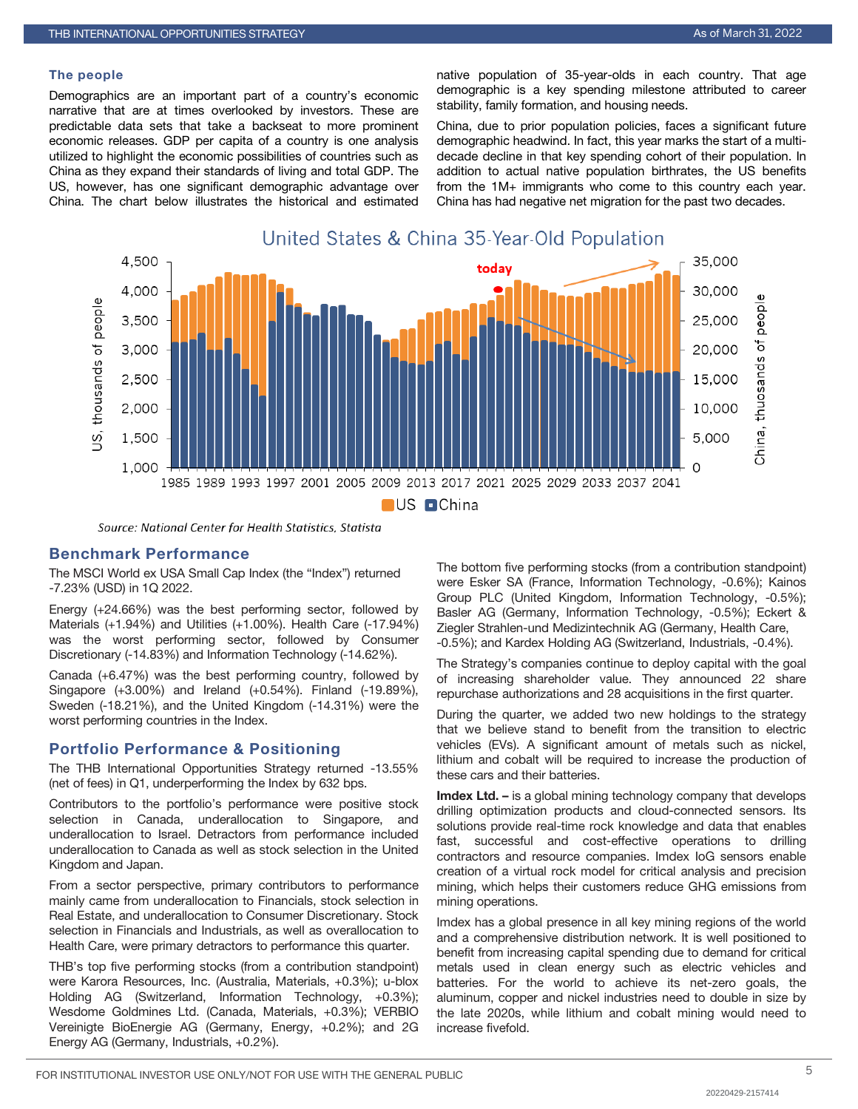#### The people

Demographics are an important part of a country's economic narrative that are at times overlooked by investors. These are predictable data sets that take a backseat to more prominent economic releases. GDP per capita of a country is one analysis utilized to highlight the economic possibilities of countries such as China as they expand their standards of living and total GDP. The US, however, has one significant demographic advantage over China. The chart below illustrates the historical and estimated native population of 35-year-olds in each country. That age demographic is a key spending milestone attributed to career stability, family formation, and housing needs.

China, due to prior population policies, faces a significant future demographic headwind. In fact, this year marks the start of a multidecade decline in that key spending cohort of their population. In addition to actual native population birthrates, the US benefits from the 1M+ immigrants who come to this country each year. China has had negative net migration for the past two decades.



Source: National Center for Health Statistics, Statista

# Benchmark Performance

The MSCI World ex USA Small Cap Index (the "Index") returned -7.23% (USD) in 1Q 2022.

Energy (+24.66%) was the best performing sector, followed by Materials (+1.94%) and Utilities (+1.00%). Health Care (-17.94%) was the worst performing sector, followed by Consumer Discretionary (-14.83%) and Information Technology (-14.62%).

Canada (+6.47%) was the best performing country, followed by Singapore (+3.00%) and Ireland (+0.54%). Finland (-19.89%), Sweden (-18.21%), and the United Kingdom (-14.31%) were the worst performing countries in the Index.

### Portfolio Performance & Positioning

The THB International Opportunities Strategy returned -13.55% (net of fees) in Q1, underperforming the Index by 632 bps.

Contributors to the portfolio's performance were positive stock selection in Canada, underallocation to Singapore, and underallocation to Israel. Detractors from performance included underallocation to Canada as well as stock selection in the United Kingdom and Japan.

From a sector perspective, primary contributors to performance mainly came from underallocation to Financials, stock selection in Real Estate, and underallocation to Consumer Discretionary. Stock selection in Financials and Industrials, as well as overallocation to Health Care, were primary detractors to performance this quarter.

THB's top five performing stocks (from a contribution standpoint) were Karora Resources, Inc. (Australia, Materials, +0.3%); u-blox Holding AG (Switzerland, Information Technology, +0.3%); Wesdome Goldmines Ltd. (Canada, Materials, +0.3%); VERBIO Vereinigte BioEnergie AG (Germany, Energy, +0.2%); and 2G Energy AG (Germany, Industrials, +0.2%).

The bottom five performing stocks (from a contribution standpoint) were Esker SA (France, Information Technology, -0.6%); Kainos Group PLC (United Kingdom, Information Technology, -0.5%); Basler AG (Germany, Information Technology, -0.5%); Eckert & Ziegler Strahlen-und Medizintechnik AG (Germany, Health Care, -0.5%); and Kardex Holding AG (Switzerland, Industrials, -0.4%).

The Strategy's companies continue to deploy capital with the goal of increasing shareholder value. They announced 22 share repurchase authorizations and 28 acquisitions in the first quarter.

During the quarter, we added two new holdings to the strategy that we believe stand to benefit from the transition to electric vehicles (EVs). A significant amount of metals such as nickel, lithium and cobalt will be required to increase the production of these cars and their batteries.

Imdex Ltd. - is a global mining technology company that develops drilling optimization products and cloud-connected sensors. Its solutions provide real-time rock knowledge and data that enables fast, successful and cost-effective operations to drilling contractors and resource companies. Imdex IoG sensors enable creation of a virtual rock model for critical analysis and precision mining, which helps their customers reduce GHG emissions from mining operations.

Imdex has a global presence in all key mining regions of the world and a comprehensive distribution network. It is well positioned to benefit from increasing capital spending due to demand for critical metals used in clean energy such as electric vehicles and batteries. For the world to achieve its net-zero goals, the aluminum, copper and nickel industries need to double in size by the late 2020s, while lithium and cobalt mining would need to increase fivefold.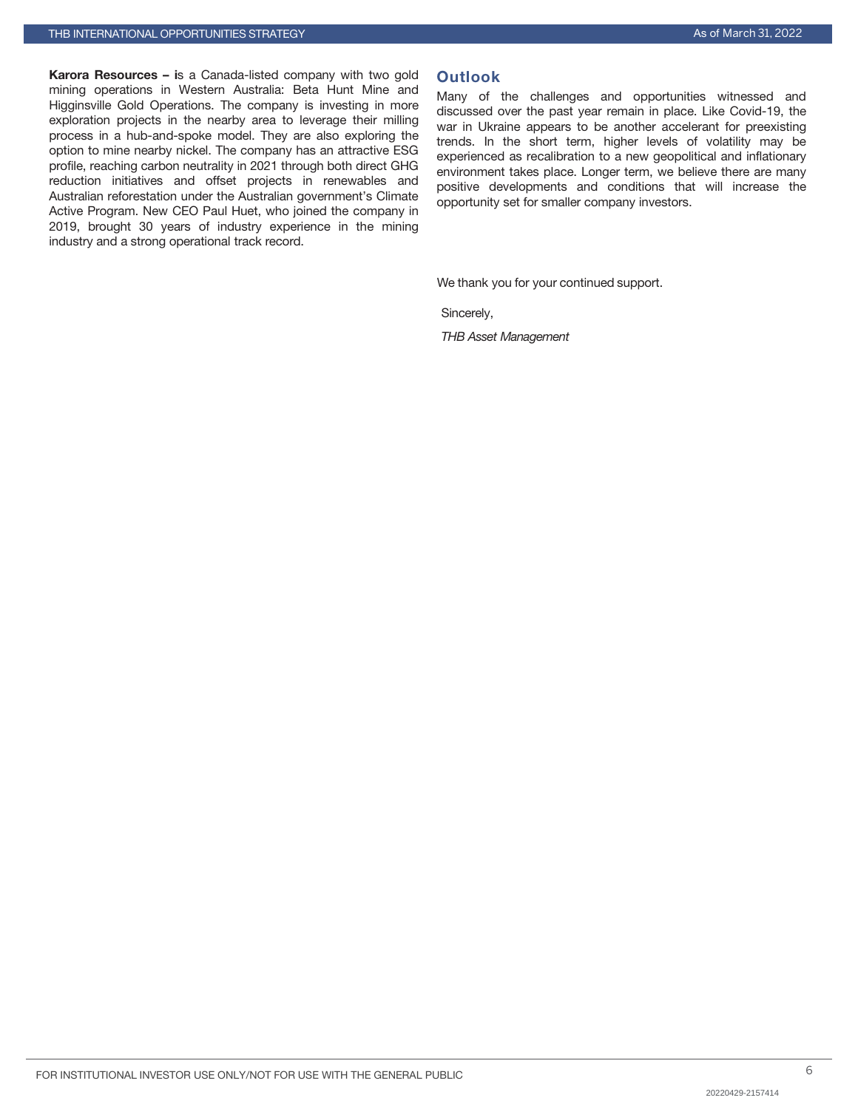Karora Resources – is a Canada-listed company with two gold mining operations in Western Australia: Beta Hunt Mine and Higginsville Gold Operations. The company is investing in more exploration projects in the nearby area to leverage their milling process in a hub-and-spoke model. They are also exploring the option to mine nearby nickel. The company has an attractive ESG profile, reaching carbon neutrality in 2021 through both direct GHG reduction initiatives and offset projects in renewables and Australian reforestation under the Australian government's Climate Active Program. New CEO Paul Huet, who joined the company in 2019, brought 30 years of industry experience in the mining industry and a strong operational track record.

# **Outlook**

Many of the challenges and opportunities witnessed and discussed over the past year remain in place. Like Covid-19, the war in Ukraine appears to be another accelerant for preexisting trends. In the short term, higher levels of volatility may be experienced as recalibration to a new geopolitical and inflationary environment takes place. Longer term, we believe there are many positive developments and conditions that will increase the opportunity set for smaller company investors.

We thank you for your continued support.

Sincerely,

*THB Asset Management*